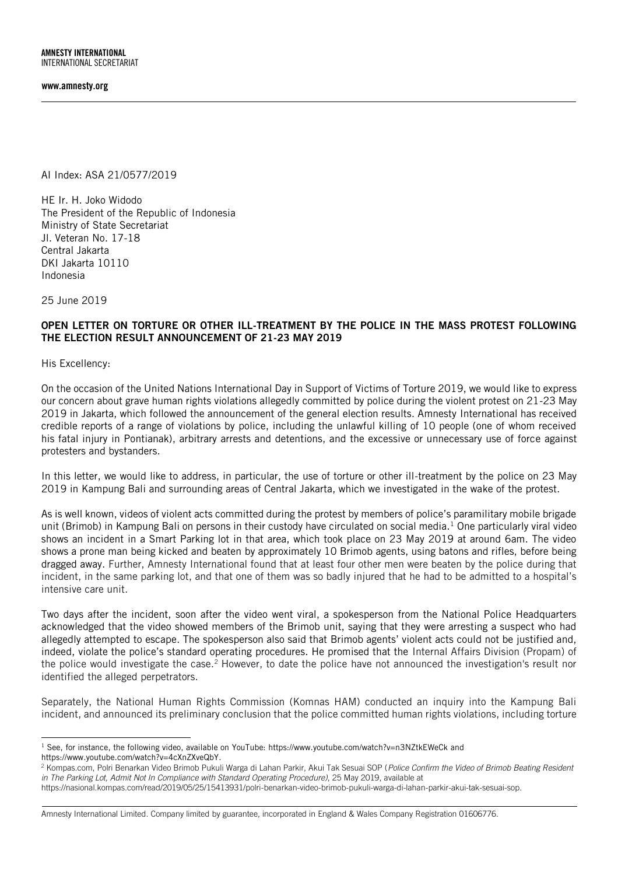<span id="page-0-0"></span>AI Index: ASA 21/0577/2019

HE Ir. H. Joko Widodo The President of the Republic of Indonesia Ministry of State Secretariat Jl. Veteran No. 17-18 Central Jakarta DKI Jakarta 10110 Indonesia

25 June 2019

## OPEN LETTER ON TORTURE OR OTHER ILL-TREATMENT BY THE POLICE IN THE MASS PROTEST FOLLOWING THE ELECTION RESULT ANNOUNCEMENT OF 21-23 MAY 2019

His Excellency:

On the occasion of the United Nations International Day in Support of Victims of Torture 2019, we would like to express our concern about grave human rights violations allegedly committed by police during the violent protest on 21-23 May 2019 in Jakarta, which followed the announcement of the general election results. Amnesty International has received credible reports of a range of violations by police, including the unlawful killing of 10 people (one of whom received his fatal injury in Pontianak), arbitrary arrests and detentions, and the excessive or unnecessary use of force against protesters and bystanders.

In this letter, we would like to address, in particular, the use of torture or other ill-treatment by the police on 23 May 2019 in Kampung Bali and surrounding areas of Central Jakarta, which we investigated in the wake of the protest.

As is well known, videos of violent acts committed during the protest by members of police's paramilitary mobile brigade unit (Brimob) in Kampung Bali on persons in their custody have circulated on social media.<sup>1</sup> One particularly viral video shows an incident in a Smart Parking lot in that area, which took place on 23 May 2019 at around 6am. The video shows a prone man being kicked and beaten by approximately 10 Brimob agents, using batons and rifles, before being dragged away. Further, Amnesty International found that at least four other men were beaten by the police during that incident, in the same parking lot, and that one of them was so badly injured that he had to be admitted to a hospital's intensive care unit.

Two days after the incident, soon after the video went viral, a spokesperson from the National Police Headquarters acknowledged that the video showed members of the Brimob unit, saying that they were arresting a suspect who had allegedly attempted to escape. The spokesperson also said that Brimob agents' violent acts could not be justified and, indeed, violate the police's standard operating procedures. He promised that the Internal Affairs Division (Propam) of the police would investigate the case.<sup>2</sup> However, to date the police have not announced the investigation's result nor identified the alleged perpetrators.

Separately, the National Human Rights Commission (Komnas HAM) conducted an inquiry into the Kampung Bali incident, and announced its preliminary conclusion that the police committed human rights violations, including torture

j  $^1$  See, for instance, the following video, available on YouTube:<https://www.youtube.com/watch?v=n3NZtkEWeCk> and [https://www.youtube.com/watch?v=4cXnZXveQbY.](https://www.youtube.com/watch?v=4cXnZXveQbY)

<sup>2</sup> Kompas.com, Polri Benarkan Video Brimob Pukuli Warga di Lahan Parkir, Akui Tak Sesuai SOP (*Police Confirm the Video of Brimob Beating Resident in The Parking Lot, Admit Not In Compliance with Standard Operating Procedure)*, 25 May 2019, available at

[https://nasional.kompas.com/read/2019/05/25/15413931/polri-benarkan-video-brimob-pukuli-warga-di-lahan-parkir-akui-tak-sesuai-sop.](https://nasional.kompas.com/read/2019/05/25/15413931/polri-benarkan-video-brimob-pukuli-warga-di-lahan-parkir-akui-tak-sesuai-sop)

[Amnesty International Limited. Company limited by guarantee, incorporated in England & Wales](#page-0-0) [Company Registration 01606776.](#page-0-0)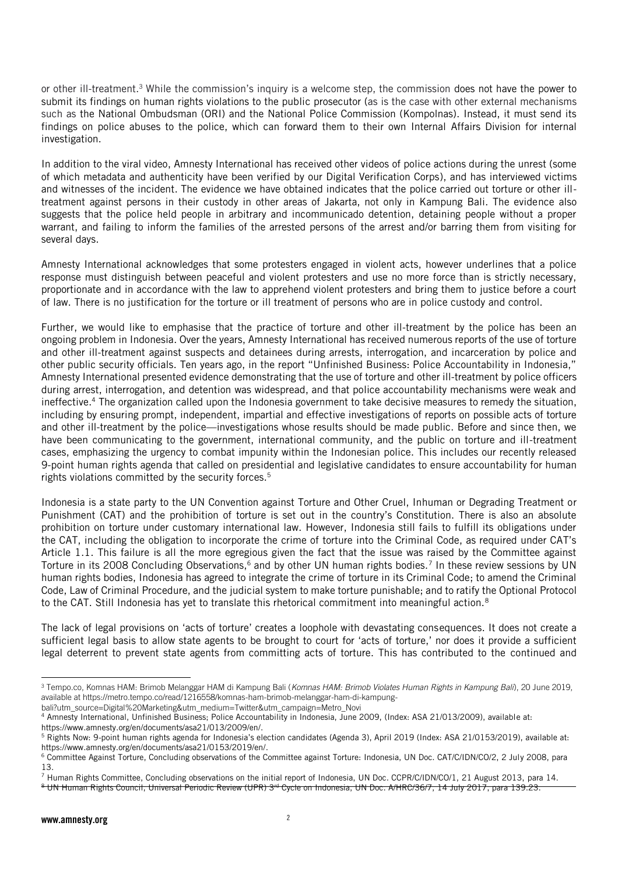or other ill-treatment.<sup>3</sup> While the commission's inquiry is a welcome step, the commission does not have the power to submit its findings on human rights violations to the public prosecutor (as is the case with other external mechanisms such as the National Ombudsman (ORI) and the National Police Commission (Kompolnas). Instead, it must send its findings on police abuses to the police, which can forward them to their own Internal Affairs Division for internal investigation.

In addition to the viral video, Amnesty International has received other videos of police actions during the unrest (some of which metadata and authenticity have been verified by our Digital Verification Corps), and has interviewed victims and witnesses of the incident. The evidence we have obtained indicates that the police carried out torture or other illtreatment against persons in their custody in other areas of Jakarta, not only in Kampung Bali. The evidence also suggests that the police held people in arbitrary and incommunicado detention, detaining people without a proper warrant, and failing to inform the families of the arrested persons of the arrest and/or barring them from visiting for several days.

Amnesty International acknowledges that some protesters engaged in violent acts, however underlines that a police response must distinguish between peaceful and violent protesters and use no more force than is strictly necessary, proportionate and in accordance with the law to apprehend violent protesters and bring them to justice before a court of law. There is no justification for the torture or ill treatment of persons who are in police custody and control.

Further, we would like to emphasise that the practice of torture and other ill-treatment by the police has been an ongoing problem in Indonesia. Over the years, Amnesty International has received numerous reports of the use of torture and other ill-treatment against suspects and detainees during arrests, interrogation, and incarceration by police and other public security officials. Ten years ago, in the report "Unfinished Business: Police Accountability in Indonesia," Amnesty International presented evidence demonstrating that the use of torture and other ill-treatment by police officers during arrest, interrogation, and detention was widespread, and that police accountability mechanisms were weak and ineffective.<sup>4</sup> The organization called upon the Indonesia government to take decisive measures to remedy the situation, including by ensuring prompt, independent, impartial and effective investigations of reports on possible acts of torture and other ill-treatment by the police—investigations whose results should be made public. Before and since then, we have been communicating to the government, international community, and the public on torture and ill-treatment cases, emphasizing the urgency to combat impunity within the Indonesian police. This includes our recently released 9-point human rights agenda that called on presidential and legislative candidates to ensure accountability for human rights violations committed by the security forces.<sup>5</sup>

Indonesia is a state party to the UN Convention against Torture and Other Cruel, Inhuman or Degrading Treatment or Punishment (CAT) and the prohibition of torture is set out in the country's Constitution. There is also an absolute prohibition on torture under customary international law. However, Indonesia still fails to fulfill its obligations under the CAT, including the obligation to incorporate the crime of torture into the Criminal Code, as required under CAT's Article 1.1. This failure is all the more egregious given the fact that the issue was raised by the Committee against Torture in its 2008 Concluding Observations,<sup>6</sup> and by other UN human rights bodies.<sup>7</sup> In these review sessions by UN human rights bodies, Indonesia has agreed to integrate the crime of torture in its Criminal Code; to amend the Criminal Code, Law of Criminal Procedure, and the judicial system to make torture punishable; and to ratify the Optional Protocol to the CAT. Still Indonesia has yet to translate this rhetorical commitment into meaningful action.<sup>8</sup>

The lack of legal provisions on 'acts of torture' creates a loophole with devastating consequences. It does not create a sufficient legal basis to allow state agents to be brought to court for 'acts of torture,' nor does it provide a sufficient legal deterrent to prevent state agents from committing acts of torture. This has contributed to the continued and

-

<sup>3</sup> Tempo.co, Komnas HAM: Brimob Melanggar HAM di Kampung Bali (*Komnas HAM: Brimob Violates Human Rights in Kampung Bali*), 20 June 2019, available a[t https://metro.tempo.co/read/1216558/komnas-ham-brimob-melanggar-ham-di-kampung](https://metro.tempo.co/read/1216558/komnas-ham-brimob-melanggar-ham-di-kampung-bali?utm_source=Digital%20Marketing&utm_medium=Twitter&utm_campaign=Metro_Novi)[bali?utm\\_source=Digital%20Marketing&utm\\_medium=Twitter&utm\\_campaign=Metro\\_Novi](https://metro.tempo.co/read/1216558/komnas-ham-brimob-melanggar-ham-di-kampung-bali?utm_source=Digital%20Marketing&utm_medium=Twitter&utm_campaign=Metro_Novi)

<sup>4</sup> Amnesty International, Unfinished Business; Police Accountability in Indonesia, June 2009, (Index: ASA 21/013/2009), available at:

[https://www.amnesty.org/en/documents/asa21/013/2009/en/.](https://www.amnesty.org/en/documents/asa21/013/2009/en/)

<sup>&</sup>lt;sup>5</sup> Rights Now: 9-point human rights agenda for Indonesia's election candidates (Agenda 3), April 2019 (Index: ASA 21/0153/2019), available at: [https://www.amnesty.org/en/documents/asa21/0153/2019/en/.](https://www.amnesty.org/en/documents/asa21/0153/2019/en/)

<sup>6</sup> Committee Against Torture, Concluding observations of the Committee against Torture: Indonesia, UN Doc. CAT/C/IDN/CO/2, 2 July 2008, para 13.

<sup>7</sup> Human Rights Committee, Concluding observations on the initial report of Indonesia, UN Doc. CCPR/C/IDN/CO/1, 21 August 2013, para 14.

<sup>&</sup>lt;sup>8</sup> UN Human Rights Council, Universal Periodic Review (UPR) 3<sup>rd</sup> Cycle on Indonesia, UN Doc. A/HRC/36/7, 14 July 2017, para 139.23.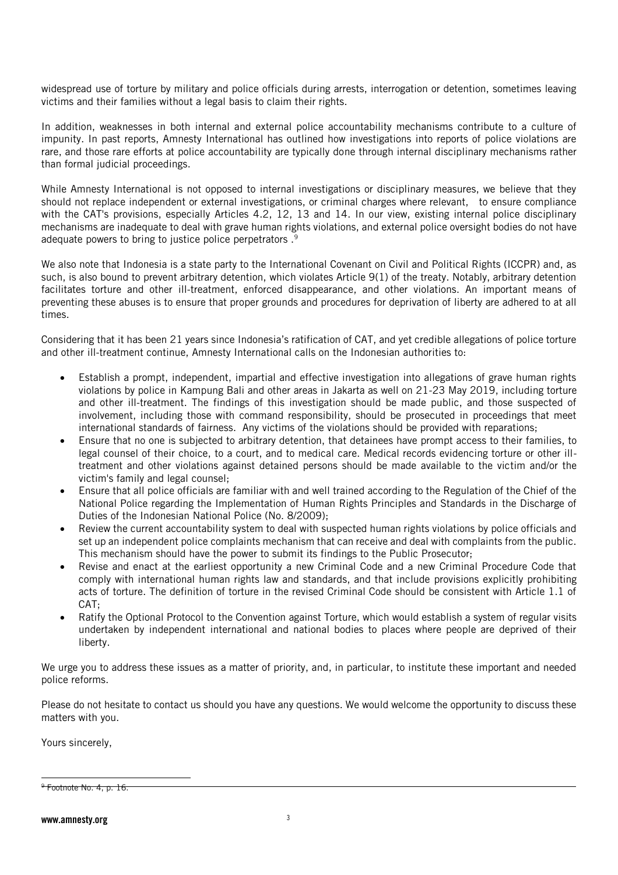widespread use of torture by military and police officials during arrests, interrogation or detention, sometimes leaving victims and their families without a legal basis to claim their rights.

In addition, weaknesses in both internal and external police accountability mechanisms contribute to a culture of impunity. In past reports, Amnesty International has outlined how investigations into reports of police violations are rare, and those rare efforts at police accountability are typically done through internal disciplinary mechanisms rather than formal judicial proceedings.

While Amnesty International is not opposed to internal investigations or disciplinary measures, we believe that they should not replace independent or external investigations, or criminal charges where relevant, to ensure compliance with the CAT's provisions, especially Articles 4.2, 12, 13 and 14. In our view, existing internal police disciplinary mechanisms are inadequate to deal with grave human rights violations, and external police oversight bodies do not have adequate powers to bring to justice police perpetrators .<sup>9</sup>

We also note that Indonesia is a state party to the International Covenant on Civil and Political Rights (ICCPR) and, as such, is also bound to prevent arbitrary detention, which violates Article 9(1) of the treaty. Notably, arbitrary detention facilitates torture and other ill-treatment, enforced disappearance, and other violations. An important means of preventing these abuses is to ensure that proper grounds and procedures for deprivation of liberty are adhered to at all times.

Considering that it has been 21 years since Indonesia's ratification of CAT, and yet credible allegations of police torture and other ill-treatment continue, Amnesty International calls on the Indonesian authorities to:

- Establish a prompt, independent, impartial and effective investigation into allegations of grave human rights violations by police in Kampung Bali and other areas in Jakarta as well on 21-23 May 2019, including torture and other ill-treatment. The findings of this investigation should be made public, and those suspected of involvement, including those with command responsibility, should be prosecuted in proceedings that meet international standards of fairness. Any victims of the violations should be provided with reparations;
- Ensure that no one is subjected to arbitrary detention, that detainees have prompt access to their families, to legal counsel of their choice, to a court, and to medical care. Medical records evidencing torture or other illtreatment and other violations against detained persons should be made available to the victim and/or the victim's family and legal counsel;
- Ensure that all police officials are familiar with and well trained according to the Regulation of the Chief of the National Police regarding the Implementation of Human Rights Principles and Standards in the Discharge of Duties of the Indonesian National Police (No. 8/2009);
- Review the current accountability system to deal with suspected human rights violations by police officials and set up an independent police complaints mechanism that can receive and deal with complaints from the public. This mechanism should have the power to submit its findings to the Public Prosecutor;
- Revise and enact at the earliest opportunity a new Criminal Code and a new Criminal Procedure Code that comply with international human rights law and standards, and that include provisions explicitly prohibiting acts of torture. The definition of torture in the revised Criminal Code should be consistent with Article 1.1 of CAT;
- Ratify the Optional Protocol to the Convention against Torture, which would establish a system of regular visits undertaken by independent international and national bodies to places where people are deprived of their liberty.

We urge you to address these issues as a matter of priority, and, in particular, to institute these important and needed police reforms.

Please do not hesitate to contact us should you have any questions. We would welcome the opportunity to discuss these matters with you.

Yours sincerely,

l

 $9$  Footnote No. 4, p. 16.